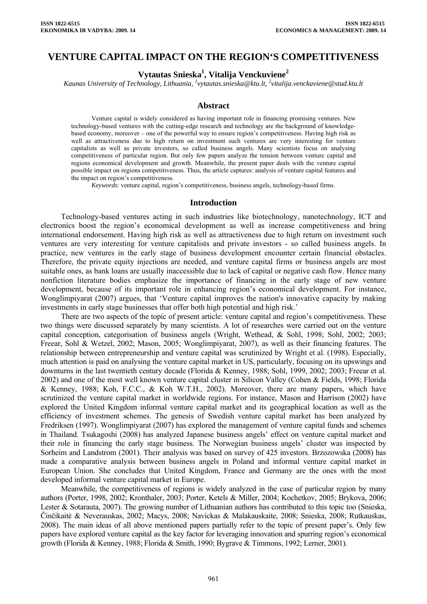## **VENTURE CAPITAL IMPACT ON THE REGION'S COMPETITIVENESS**

# **Vytautas Snieska1 , Vitalija Venckuviene<sup>2</sup>**

*Kaunas University of Technology, Lithuania, <sup>1</sup> [vytautas.snieska@ktu.lt,](mailto:vytautas.snieska@ktu.lt) <sup>2</sup> vitalija.venckuviene@stud.ktu.lt* 

#### **Abstract**

Venture capital is widely considered as having important role in financing promising ventures. New technology-based ventures with the cutting-edge research and technology are the background of knowledgebased economy, moreover – one of the powerful way to ensure region's competitiveness. Having high risk as well as attractiveness due to high return on investment such ventures are very interesting for venture capitalists as well as private investors, so called business angels. Many scientists focus on analysing competitiveness of particular region. But only few papers analyze the tension between venture capital and regions economical development and growth. Meanwhile, the present paper deals with the venture capital possible impact on regions competitiveness. Thus, the article captures: analysis of venture capital features and the impact on region's competitiveness.

*Keywords*: venture capital, region's competitiveness, business angels, technology-based firms.

#### **Introduction**

Technology-based ventures acting in such industries like biotechnology, nanotechnology, ICT and electronics boost the region's economical development as well as increase competitiveness and bring international endorsement. Having high risk as well as attractiveness due to high return on investment such ventures are very interesting for venture capitalists and private investors - so called business angels. In practice, new ventures in the early stage of business development encounter certain financial obstacles. Therefore, the private equity injections are needed, and venture capital firms or business angels are most suitable ones, as bank loans are usually inaccessible due to lack of capital or negative cash flow. Hence many nonfiction literature bodies emphasize the importance of financing in the early stage of new venture development, because of its important role in enhancing region's economical development. For instance, Wonglimpiyarat (2007) argues, that 'Venture capital improves the nation's innovative capacity by making investments in early stage businesses that offer both high potential and high risk.'

There are two aspects of the topic of present article: venture capital and region's competitiveness. These two things were discussed separately by many scientists. A lot of researches were carried out on the venture capital conception, categorisation of business angels (Wright, Wethead, & Sohl, 1998; Sohl, 2002; 2003; Freear, Sohl & Wetzel, 2002; Mason, 2005; Wonglimpiyarat, 2007), as well as their financing features. The relationship between entrepreneurship and venture capital was scrutinized by Wright et al. (1998). Especially, much attention is paid on analysing the venture capital market in US, particularly, focusing on its upswings and downturns in the last twentieth century decade (Florida & Kenney, 1988; Sohl, 1999, 2002; 2003; Freear et al. 2002) and one of the most well known venture capital cluster in Silicon Valley (Cohen & Fields, 1998; Florida & Kenney, 1988; Koh, F.C.C., & Koh W.T.H., 2002). Moreover, there are many papers, which have scrutinized the venture capital market in worldwide regions. For instance, Mason and Harrison (2002) have explored the United Kingdom informal venture capital market and its geographical location as well as the efficiency of investment schemes. The genesis of Swedish venture capital market has been analyzed by Fredriksen (1997). Wonglimpiyarat (2007) has explored the management of venture capital funds and schemes in Thailand. Tsukagoshi (2008) has analyzed Japanese business angels' effect on venture capital market and their role in financing the early stage business. The Norwegian business angels' cluster was inspected by Sorheim and Landstrom (2001). Their analysis was based on survey of 425 investors. Brzozowska (2008) has made a comparative analysis between business angels in Poland and informal venture capital market in European Union. She concludes that United Kingdom, France and Germany are the ones with the most developed informal venture capital market in Europe.

Meanwhile, the competitiveness of regions is widely analyzed in the case of particular region by many authors (Porter, 1998, 2002; Kronthaler, 2003; Porter, Ketels & Miller, 2004; Kochetkov, 2005; Brykova, 2006; Lester & Sotarauta, 2007). The growing number of Lithuanian authors has contributed to this topic too (Snieska, Činčikaitė & Neverauskas, 2002; Macys, 2008; Navickas & Malakauskaite, 2008; Snieska, 2008; Rutkauskas, 2008). The main ideas of all above mentioned papers partially refer to the topic of present paper's. Only few papers have explored venture capital as the key factor for leveraging innovation and spurring region's economical growth (Florida & Kenney, 1988; Florida & Smith, 1990; Bygrave & Timmons, 1992; Lerner, 2001).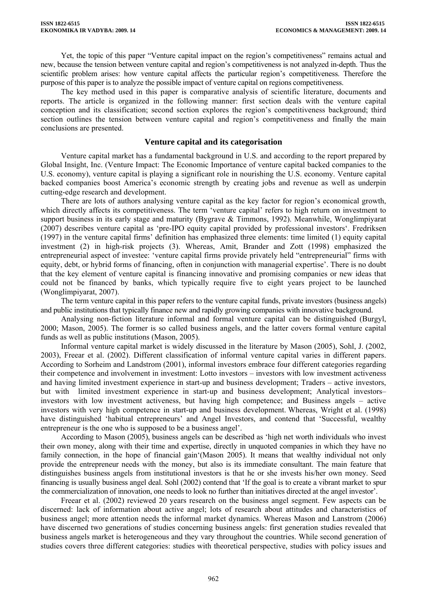Yet, the topic of this paper "Venture capital impact on the region's competitiveness" remains actual and new, because the tension between venture capital and region's competitiveness is not analyzed in-depth. Thus the scientific problem arises: how venture capital affects the particular region's competitiveness. Therefore the purpose of this paper is to analyze the possible impact of venture capital on regions competitiveness.

The key method used in this paper is comparative analysis of scientific literature, documents and reports. The article is organized in the following manner: first section deals with the venture capital conception and its classification; second section explores the region's competitiveness background; third section outlines the tension between venture capital and region's competitiveness and finally the main conclusions are presented.

## **Venture capital and its categorisation**

Venture capital market has a fundamental background in U.S. and according to the report prepared by Global Insight, Inc. (Venture Impact: The Economic Importance of venture capital backed companies to the U.S. economy), venture capital is playing a significant role in nourishing the U.S. economy. Venture capital backed companies boost America's economic strength by creating jobs and revenue as well as underpin cutting-edge research and development.

There are lots of authors analysing venture capital as the key factor for region's economical growth, which directly affects its competitiveness. The term 'venture capital' refers to high return on investment to support business in its early stage and maturity (Bygrave & Timmons, 1992). Meanwhile, Wonglimpiyarat (2007) describes venture capital as 'pre-IPO equity capital provided by professional investors'. Fredriksen (1997) in the venture capital firms' definition has emphasized three elements: time limited (1) equity capital investment (2) in high-risk projects (3). Whereas, Amit, Brander and Zott (1998) emphasized the entrepreneurial aspect of investee: 'venture capital firms provide privately held "entrepreneurial" firms with equity, debt, or hybrid forms of financing, often in conjunction with managerial expertise'. There is no doubt that the key element of venture capital is financing innovative and promising companies or new ideas that could not be financed by banks, which typically require five to eight years project to be launched (Wonglimpiyarat, 2007).

The term venture capital in this paper refers to the venture capital funds, private investors (business angels) and public institutions that typically finance new and rapidly growing companies with innovative background.

Analysing non-fiction literature informal and formal venture capital can be distinguished (Burgyl, 2000; Mason, 2005). The former is so called business angels, and the latter covers formal venture capital funds as well as public institutions (Mason, 2005).

Informal venture capital market is widely discussed in the literature by Mason (2005), Sohl, J. (2002, 2003), Freear et al. (2002). Different classification of informal venture capital varies in different papers. According to Sorheim and Landstrom (2001), informal investors embrace four different categories regarding their competence and involvement in investment: Lotto investors – investors with low investment activeness and having limited investment experience in start-up and business development; Traders – active investors, but with limited investment experience in start-up and business development; Analytical investors– investors with low investment activeness, but having high competence; and Business angels – active investors with very high competence in start-up and business development. Whereas, Wright et al. (1998) have distinguished 'habitual entrepreneurs' and Angel Investors, and contend that 'Successful, wealthy entrepreneur is the one who is supposed to be a business angel'.

According to Mason (2005), business angels can be described as 'high net worth individuals who invest their own money, along with their time and expertise, directly in unquoted companies in which they have no family connection, in the hope of financial gain'(Mason 2005). It means that wealthy individual not only provide the entrepreneur needs with the money, but also is its immediate consultant. The main feature that distinguishes business angels from institutional investors is that he or she invests his/her own money. Seed financing is usually business angel deal. Sohl (2002) contend that 'If the goal is to create a vibrant market to spur the commercialization of innovation, one needs to look no further than initiatives directed at the angel investor'.

Freear et al. (2002) reviewed 20 years research on the business angel segment. Few aspects can be discerned: lack of information about active angel; lots of research about attitudes and characteristics of business angel; more attention needs the informal market dynamics. Whereas Mason and Lanstrom (2006) have discerned two generations of studies concerning business angels: first generation studies revealed that business angels market is heterogeneous and they vary throughout the countries. While second generation of studies covers three different categories: studies with theoretical perspective, studies with policy issues and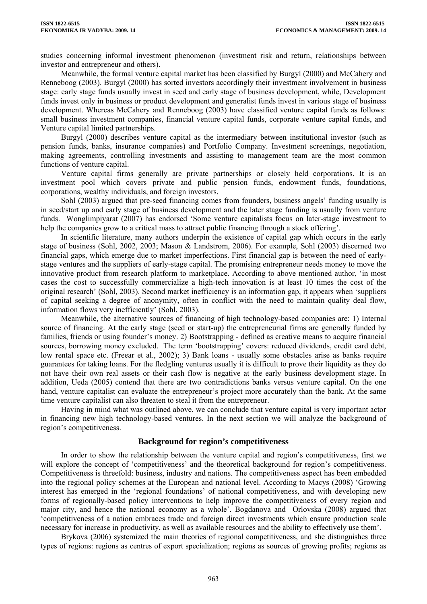studies concerning informal investment phenomenon (investment risk and return, relationships between investor and entrepreneur and others).

Meanwhile, the formal venture capital market has been classified by Burgyl (2000) and McCahery and Renneboog (2003). Burgyl (2000) has sorted investors accordingly their investment involvement in business stage: early stage funds usually invest in seed and early stage of business development, while, Development funds invest only in business or product development and generalist funds invest in various stage of business development. Whereas McCahery and Renneboog (2003) have classified venture capital funds as follows: small business investment companies, financial venture capital funds, corporate venture capital funds, and Venture capital limited partnerships.

Burgyl (2000) describes venture capital as the intermediary between institutional investor (such as pension funds, banks, insurance companies) and Portfolio Company. Investment screenings, negotiation, making agreements, controlling investments and assisting to management team are the most common functions of venture capital.

Venture capital firms generally are private partnerships or closely held corporations. It is an investment pool which covers private and public pension funds, endowment funds, foundations, corporations, wealthy individuals, and foreign investors.

Sohl (2003) argued that pre-seed financing comes from founders, business angels' funding usually is in seed/start up and early stage of business development and the later stage funding is usually from venture funds. Wonglimpiyarat (2007) has endorsed 'Some venture capitalists focus on later-stage investment to help the companies grow to a critical mass to attract public financing through a stock offering'.

In scientific literature, many authors underpin the existence of capital gap which occurs in the early stage of business (Sohl, 2002, 2003; Mason & Landstrom, 2006). For example, Sohl (2003) discerned two financial gaps, which emerge due to market imperfections. First financial gap is between the need of earlystage ventures and the suppliers of early-stage capital. The promising entrepreneur needs money to move the innovative product from research platform to marketplace. According to above mentioned author, 'in most cases the cost to successfully commercialize a high-tech innovation is at least 10 times the cost of the original research' (Sohl, 2003). Second market inefficiency is an information gap, it appears when 'suppliers of capital seeking a degree of anonymity, often in conflict with the need to maintain quality deal flow, information flows very inefficiently' (Sohl, 2003).

Meanwhile, the alternative sources of financing of high technology-based companies are: 1) Internal source of financing. At the early stage (seed or start-up) the entrepreneurial firms are generally funded by families, friends or using founder's money. 2) Bootstrapping - defined as creative means to acquire financial sources, borrowing money excluded. The term 'bootstrapping' covers: reduced dividends, credit card debt, low rental space etc. (Freear et al., 2002); 3) Bank loans - usually some obstacles arise as banks require guarantees for taking loans. For the fledgling ventures usually it is difficult to prove their liquidity as they do not have their own real assets or their cash flow is negative at the early business development stage. In addition, Ueda (2005) contend that there are two contradictions banks versus venture capital. On the one hand, venture capitalist can evaluate the entrepreneur's project more accurately than the bank. At the same time venture capitalist can also threaten to steal it from the entrepreneur.

Having in mind what was outlined above, we can conclude that venture capital is very important actor in financing new high technology-based ventures. In the next section we will analyze the background of region's competitiveness.

### **Background for region's competitiveness**

In order to show the relationship between the venture capital and region's competitiveness, first we will explore the concept of 'competitiveness' and the theoretical background for region's competitiveness. Competitiveness is threefold: business, industry and nations. The competitiveness aspect has been embedded into the regional policy schemes at the European and national level. According to Macys (2008) 'Growing interest has emerged in the 'regional foundations' of national competitiveness, and with developing new forms of regionally-based policy interventions to help improve the competitiveness of every region and major city, and hence the national economy as a whole'. Bogdanova and Orlovska (2008) argued that 'competitiveness of a nation embraces trade and foreign direct investments which ensure production scale necessary for increase in productivity, as well as available resources and the ability to effectively use them'.

Brykova (2006) systemized the main theories of regional competitiveness, and she distinguishes three types of regions: regions as centres of export specialization; regions as sources of growing profits; regions as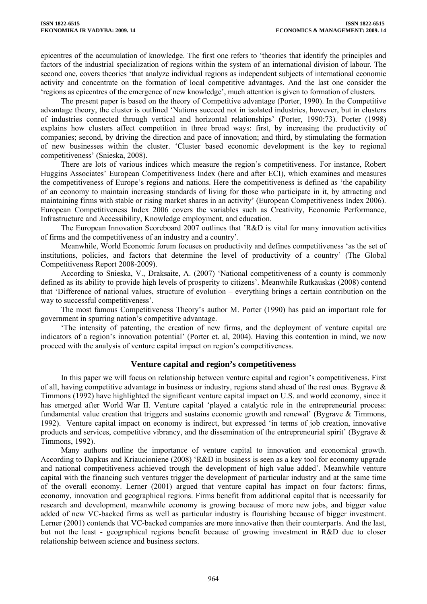epicentres of the accumulation of knowledge. The first one refers to 'theories that identify the principles and factors of the industrial specialization of regions within the system of an international division of labour. The second one, covers theories 'that analyze individual regions as independent subjects of international economic activity and concentrate on the formation of local competitive advantages. And the last one consider the 'regions as epicentres of the emergence of new knowledge', much attention is given to formation of clusters.

The present paper is based on the theory of Competitive advantage (Porter, 1990). In the Competitive advantage theory, the cluster is outlined 'Nations succeed not in isolated industries, however, but in clusters of industries connected through vertical and horizontal relationships' (Porter, 1990:73). Porter (1998) explains how clusters affect competition in three broad ways: first, by increasing the productivity of companies; second, by driving the direction and pace of innovation; and third, by stimulating the formation of new businesses within the cluster. 'Cluster based economic development is the key to regional competitiveness' (Snieska, 2008).

There are lots of various indices which measure the region's competitiveness. For instance, Robert Huggins Associates' European Competitiveness Index (here and after ECI), which examines and measures the competitiveness of Europe's regions and nations. Here the competitiveness is defined as 'the capability of an economy to maintain increasing standards of living for those who participate in it, by attracting and maintaining firms with stable or rising market shares in an activity' (European Competitiveness Index 2006). European Competitiveness Index 2006 covers the variables such as Creativity, Economic Performance, Infrastructure and Accessibility, Knowledge employment, and education.

The European Innovation Scoreboard 2007 outlines that 'R&D is vital for many innovation activities of firms and the competitiveness of an industry and a country'.

Meanwhile, World Economic forum focuses on productivity and defines competitiveness 'as the set of institutions, policies, and factors that determine the level of productivity of a country' (The Global Competitiveness Report 2008-2009).

According to Snieska, V., Draksaite, A. (2007) 'National competitiveness of a county is commonly defined as its ability to provide high levels of prosperity to citizens'. Meanwhile Rutkauskas (2008) contend that 'Difference of national values, structure of evolution – everything brings a certain contribution on the way to successful competitiveness'.

The most famous Competitiveness Theory's author M. Porter (1990) has paid an important role for government in spurring nation's competitive advantage.

'The intensity of patenting, the creation of new firms, and the deployment of venture capital are indicators of a region's innovation potential' (Porter et. al, 2004). Having this contention in mind, we now proceed with the analysis of venture capital impact on region's competitiveness.

### **Venture capital and region's competitiveness**

In this paper we will focus on relationship between venture capital and region's competitiveness. First of all, having competitive advantage in business or industry, regions stand ahead of the rest ones. Bygrave & Timmons (1992) have highlighted the significant venture capital impact on U.S. and world economy, since it has emerged after World War II. Venture capital 'played a catalytic role in the entrepreneurial process: fundamental value creation that triggers and sustains economic growth and renewal' (Bygrave & Timmons, 1992). Venture capital impact on economy is indirect, but expressed 'in terms of job creation, innovative products and services, competitive vibrancy, and the dissemination of the entrepreneurial spirit' (Bygrave  $\&$ Timmons, 1992).

Many authors outline the importance of venture capital to innovation and economical growth. According to Dapkus and Kriaucioniene (2008) 'R&D in business is seen as a key tool for economy upgrade and national competitiveness achieved trough the development of high value added'. Meanwhile venture capital with the financing such ventures trigger the development of particular industry and at the same time of the overall economy. Lerner (2001) argued that venture capital has impact on four factors: firms, economy, innovation and geographical regions. Firms benefit from additional capital that is necessarily for research and development, meanwhile economy is growing because of more new jobs, and bigger value added of new VC-backed firms as well as particular industry is flourishing because of bigger investment. Lerner (2001) contends that VC-backed companies are more innovative then their counterparts. And the last, but not the least - geographical regions benefit because of growing investment in R&D due to closer relationship between science and business sectors.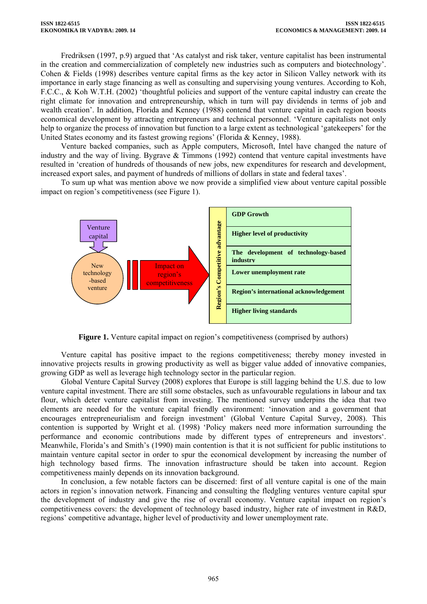Fredriksen (1997, p.9) argued that 'As catalyst and risk taker, venture capitalist has been instrumental in the creation and commercialization of completely new industries such as computers and biotechnology'. Cohen & Fields (1998) describes venture capital firms as the key actor in Silicon Valley network with its importance in early stage financing as well as consulting and supervising young ventures. According to Koh, F.C.C., & Koh W.T.H. (2002) 'thoughtful policies and support of the venture capital industry can create the right climate for innovation and entrepreneurship, which in turn will pay dividends in terms of job and wealth creation'. In addition, Florida and Kenney (1988) contend that venture capital in each region boosts economical development by attracting entrepreneurs and technical personnel. 'Venture capitalists not only help to organize the process of innovation but function to a large extent as technological 'gatekeepers' for the United States economy and its fastest growing regions' (Florida & Kenney, 1988).

Venture backed companies, such as Apple computers, Microsoft, Intel have changed the nature of industry and the way of living. Bygrave & Timmons (1992) contend that venture capital investments have resulted in 'creation of hundreds of thousands of new jobs, new expenditures for research and development, increased export sales, and payment of hundreds of millions of dollars in state and federal taxes'.

To sum up what was mention above we now provide a simplified view about venture capital possible impact on region's competitiveness (see Figure 1).



**Figure 1.** Venture capital impact on region's competitiveness (comprised by authors)

Venture capital has positive impact to the regions competitiveness; thereby money invested in innovative projects results in growing productivity as well as bigger value added of innovative companies, growing GDP as well as leverage high technology sector in the particular region.

Global Venture Capital Survey (2008) explores that Europe is still lagging behind the U.S. due to low venture capital investment. There are still some obstacles, such as unfavourable regulations in labour and tax flour, which deter venture capitalist from investing. The mentioned survey underpins the idea that two elements are needed for the venture capital friendly environment: 'innovation and a government that encourages entrepreneurialism and foreign investment' (Global Venture Capital Survey, 2008). This contention is supported by Wright et al. (1998) 'Policy makers need more information surrounding the performance and economic contributions made by different types of entrepreneurs and investors'. Meanwhile, Florida's and Smith's (1990) main contention is that it is not sufficient for public institutions to maintain venture capital sector in order to spur the economical development by increasing the number of high technology based firms. The innovation infrastructure should be taken into account. Region competitiveness mainly depends on its innovation background.

In conclusion, a few notable factors can be discerned: first of all venture capital is one of the main actors in region's innovation network. Financing and consulting the fledgling ventures venture capital spur the development of industry and give the rise of overall economy. Venture capital impact on region's competitiveness covers: the development of technology based industry, higher rate of investment in R&D, regions' competitive advantage, higher level of productivity and lower unemployment rate.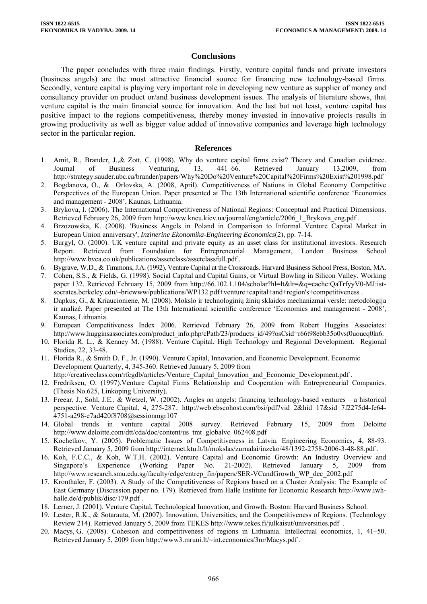## **Conclusions**

The paper concludes with three main findings. Firstly, venture capital funds and private investors (business angels) are the most attractive financial source for financing new technology-based firms. Secondly, venture capital is playing very important role in developing new venture as supplier of money and consultancy provider on product or/and business development issues. The analysis of literature shows, that venture capital is the main financial source for innovation. And the last but not least, venture capital has positive impact to the regions competitiveness, thereby money invested in innovative projects results in growing productivity as well as bigger value added of innovative companies and leverage high technology sector in the particular region.

#### **References**

- 1. Amit, R., Brander, J.,& Zott, C. (1998). Why do venture capital firms exist? Theory and Canadian evidence. Journal of Business Venturing, 13, 441–66. Retrieved January 13,2009, from <http://strategy.sauder.ubc.ca/brander/papers/Why%20Do%20Venture%20Capital%20Firms%20Exist%201998.pdf>
- 2. Bogdanova, O., & Orlovska, A. (2008, April). Competitiveness of Nations in Global Economy Competitive Perspectives of the European Union. Paper presented at The 13th International scientific conference 'Economics and management - 2008', Kaunas, Lithuania.
- 3. Brykova, I. (2006). The International Competitiveness of National Regions: Conceptual and Practical Dimensions. Retrieved February 26, 2009 from [http://www.kneu.kiev.ua/journal/eng/article/2006\\_1\\_Brykova\\_eng.pdf](http://www.kneu.kiev.ua/journal/eng/article/2006_1_Brykova_eng.pdf) .
- 4. Brzozowska, K. (2008). 'Business Angels in Poland in Comparison to Informal Venture Capital Market in European Union anniversary', *Inzinerine Ekonomika-Engineering Economics*(2), pp. 7-14.
- 5. Burgyl, O. (2000). UK venture capital and private equity as an asset class for institutional investors. Research Report. Retrieved from Foundation for Entrepreneurial Management, London Business School <http://www.bvca.co.uk/publications/assetclass/assetclassfull.pdf>.
- 6. Bygrave, W.D., & Timmons, J.A. (1992). Venture Capital at the Crossroads. Harvard Business School Press, Boston, MA.
- 7. Cohen, S.S., & Fields, G. (1998). Social Capital and Capital Gains, or Virtual Bowling in Silicon Valley. Working paper 132. Retrieved February 15, 2009 from [http://66.102.1.104/scholar?hl=lt&lr=&q=cache:QaTrfyyV0-MJ:ist](http://66.102.1.104/scholar?hl=lt&lr=&q=cache:QaTrfyyV0-MJ:ist-socrates.berkeley.edu/%7Ebriewww/publications/WP132.pdf+venture+capital+and+region)[socrates.berkeley.edu/~briewww/publications/WP132.pdf+venture+capital+and+region's+competitiveness](http://66.102.1.104/scholar?hl=lt&lr=&q=cache:QaTrfyyV0-MJ:ist-socrates.berkeley.edu/%7Ebriewww/publications/WP132.pdf+venture+capital+and+region) .
- 8. Dapkus, G., & Kriaucioniene, M. (2008). Mokslo ir technologinių žinių sklaidos mechanizmai versle: metodologija ir analizė. Paper presented at The 13th International scientific conference 'Economics and management - 2008', Kaunas, Lithuania.
- 9. European Competitiveness Index 2006. Retrieved February 26, 2009 from Robert Huggins Associates: [http://www.hugginsassociates.com/product\\_info.php/cPath/23/products\\_id/49?osCsid=r66t98ebb35o0vsf0uoucq0ln6](http://www.hugginsassociates.com/product_info.php/cPath/23/products_id/49?osCsid=r66t98ebb35o0vsf0uoucq0ln6).
- 10. Florida R. L., & Kenney M. (1988). Venture Capital, High Technology and Regional Development. Regional Studies, 22, 33-48.
- 11. Florida R., & Smith D. F., Jr. (1990). Venture Capital, Innovation, and Economic Development. Economic Development Quarterly, 4, 345-360. Retrieved January 5, 2009 from
- [http://creativeclass.com/rfcgdb/articles/Venture\\_Capital\\_Innovation\\_and\\_Economic\\_Development.pdf](http://creativeclass.com/rfcgdb/articles/Venture_Capital_Innovation_and_Economic_Development.pdf) .
- 12. Fredriksen, O. (1997).Venture Capital Firms Relationship and Cooperation with Entrepreneurial Companies. (Thesis No.625, Linkoping University).
- 13. Freear, J., Sohl, J.E., & Wetzel, W. (2002). Angles on angels: financing technology-based ventures a historical perspective. Venture Capital, 4, 275-287.: [http://web.ebscohost.com/bsi/pdf?vid=2&hid=17&sid=7f2275d4-fe64-](http://web.ebscohost.com/bsi/pdf?vid=2&hid=17&sid=7f2275d4-fe64-4751-a298-e7ad420f8708@sessionmgr107) [4751-a298-e7ad420f8708@sessionmgr107](http://web.ebscohost.com/bsi/pdf?vid=2&hid=17&sid=7f2275d4-fe64-4751-a298-e7ad420f8708@sessionmgr107)
- 14. Global trends in venture capital 2008 survey. Retrieved February 15, 2009 from Deloitte http://www.deloitte.com/dtt/cda/doc/content/us\_tmt\_globalvc\_062408.pdf
- 15. Kochetkov, Y. (2005). Problematic Issues of Competitiveness in Latvia. Engineering Economics, 4, 88-93. Retrieved January 5, 2009 from <http://internet.ktu.lt/lt/mokslas/zurnalai/inzeko/48/1392-2758-2006-3-48-88.pdf> .
- 16. Koh, F.C.C., & Koh, W.T.H. (2002). Venture Capital and Economic Growth: An Industry Overview and Singapore's Experience (Working Paper No. 21-2002). Retrieved January 5, 2009 from [http://www.research.smu.edu.sg/faculty/edge/entrep\\_fin/papers/SER-VCandGrowth\\_WP\\_dec\\_2002.pdf](http://www.research.smu.edu.sg/faculty/edge/entrep_fin/papers/SER-VCandGrowth_WP_dec_2002.pdf)
- 17. Kronthaler, F. (2003). A Study of the Competitiveness of Regions based on a Cluster Analysis: The Example of East Germany (Discussion paper no. 179). Retrieved from Halle Institute for Economic Research [http://www.iwh](http://www.iwh-halle.de/d/publik/disc/179.pdf)[halle.de/d/publik/disc/179.pdf](http://www.iwh-halle.de/d/publik/disc/179.pdf) .
- 18. Lerner, J. (2001). Venture Capital, Technological Innovation, and Growth. Boston: Harvard Business School.
- 19. Lester, R.K., & Sotarauta, M. (2007). Innovation, Universities, and the Competitiveness of Regions. (Technology Review 214). Retrieved January 5, 2009 from TEKES <http://www.tekes.fi/julkaisut/universities.pdf> .
- 20. Macys, G. (2008). Cohesion and competitiveness of regions in Lithuania. Intellectual economics, 1, 41–50. Retrieved January 5, 2009 from [http://www3.mruni.lt/~int.economics/3nr/Macys.pdf](http://www3.mruni.lt/%7Eint.economics/3nr/Macys.pdf).